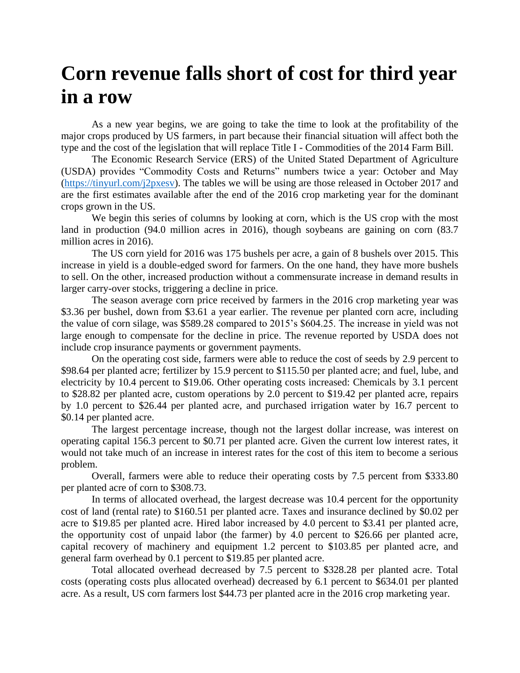## **Corn revenue falls short of cost for third year in a row**

As a new year begins, we are going to take the time to look at the profitability of the major crops produced by US farmers, in part because their financial situation will affect both the type and the cost of the legislation that will replace Title I - Commodities of the 2014 Farm Bill.

The Economic Research Service (ERS) of the United Stated Department of Agriculture (USDA) provides "Commodity Costs and Returns" numbers twice a year: October and May [\(https://tinyurl.com/j2pxesv\)](https://tinyurl.com/j2pxesv). The tables we will be using are those released in October 2017 and are the first estimates available after the end of the 2016 crop marketing year for the dominant crops grown in the US.

We begin this series of columns by looking at corn, which is the US crop with the most land in production (94.0 million acres in 2016), though soybeans are gaining on corn (83.7 million acres in 2016).

The US corn yield for 2016 was 175 bushels per acre, a gain of 8 bushels over 2015. This increase in yield is a double-edged sword for farmers. On the one hand, they have more bushels to sell. On the other, increased production without a commensurate increase in demand results in larger carry-over stocks, triggering a decline in price.

The season average corn price received by farmers in the 2016 crop marketing year was \$3.36 per bushel, down from \$3.61 a year earlier. The revenue per planted corn acre, including the value of corn silage, was \$589.28 compared to 2015's \$604.25. The increase in yield was not large enough to compensate for the decline in price. The revenue reported by USDA does not include crop insurance payments or government payments.

On the operating cost side, farmers were able to reduce the cost of seeds by 2.9 percent to \$98.64 per planted acre; fertilizer by 15.9 percent to \$115.50 per planted acre; and fuel, lube, and electricity by 10.4 percent to \$19.06. Other operating costs increased: Chemicals by 3.1 percent to \$28.82 per planted acre, custom operations by 2.0 percent to \$19.42 per planted acre, repairs by 1.0 percent to \$26.44 per planted acre, and purchased irrigation water by 16.7 percent to \$0.14 per planted acre.

The largest percentage increase, though not the largest dollar increase, was interest on operating capital 156.3 percent to \$0.71 per planted acre. Given the current low interest rates, it would not take much of an increase in interest rates for the cost of this item to become a serious problem.

Overall, farmers were able to reduce their operating costs by 7.5 percent from \$333.80 per planted acre of corn to \$308.73.

In terms of allocated overhead, the largest decrease was 10.4 percent for the opportunity cost of land (rental rate) to \$160.51 per planted acre. Taxes and insurance declined by \$0.02 per acre to \$19.85 per planted acre. Hired labor increased by 4.0 percent to \$3.41 per planted acre, the opportunity cost of unpaid labor (the farmer) by 4.0 percent to \$26.66 per planted acre, capital recovery of machinery and equipment 1.2 percent to \$103.85 per planted acre, and general farm overhead by 0.1 percent to \$19.85 per planted acre.

Total allocated overhead decreased by 7.5 percent to \$328.28 per planted acre. Total costs (operating costs plus allocated overhead) decreased by 6.1 percent to \$634.01 per planted acre. As a result, US corn farmers lost \$44.73 per planted acre in the 2016 crop marketing year.